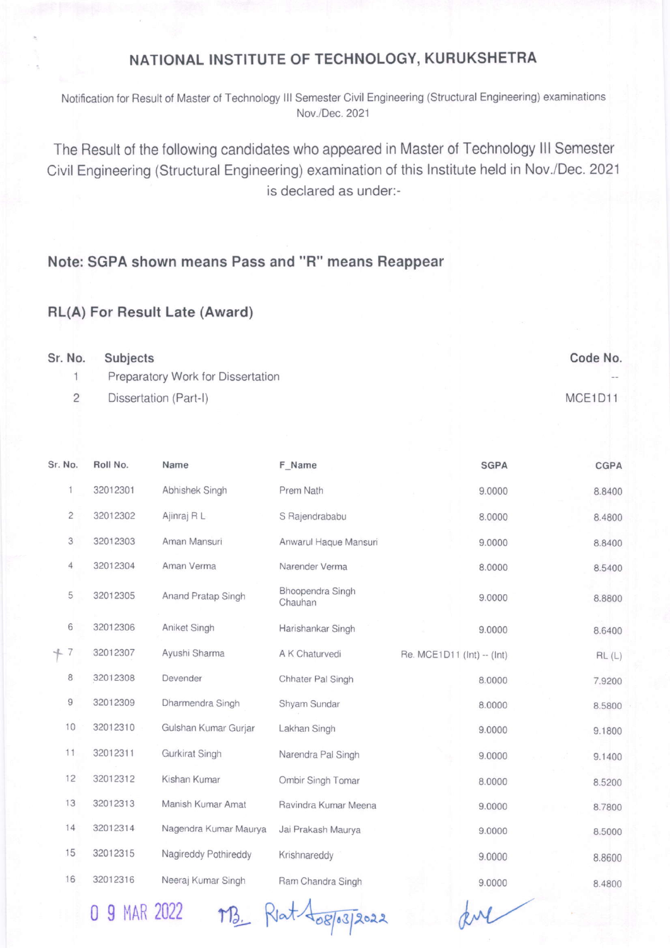## NATIONAL INSTITUTE OF TECHNOLOGY, KURUKSHETRA

Notification for Result of Master of Technology III Semester Civil Engineering (Structural Engineering) examinations Nov./Dec.2021

The Result of the following candidates who appeared in Master of Technology lll Semester Civil Engineering (Structural Engineering) examination of this Institute held in Nov./Dec. 2021 is declared as under:-

## Note: SGPA shown means Pass and "R" means Reappear

## RL(A) For Result Late (Award)

| Sr. No. | Subjects                          | Code No.   |
|---------|-----------------------------------|------------|
|         | Preparatory Work for Dissertation | $\sim$ $-$ |
|         | Dissertation (Part-I)             | MCE1D11    |

| Sr. No.        | Roll No. | Name                  | F Name                      | <b>SGPA</b>                | <b>CGPA</b> |
|----------------|----------|-----------------------|-----------------------------|----------------------------|-------------|
| 1              | 32012301 | Abhishek Singh        | Prem Nath                   | 9.0000                     | 8.8400      |
| $\overline{c}$ | 32012302 | Ajinraj R L           | S Rajendrababu              | 8.0000                     | 8.4800      |
| 3              | 32012303 | Aman Mansuri          | Anwarul Haque Mansuri       | 9.0000                     | 8.8400      |
| 4              | 32012304 | Aman Verma            | Narender Verma              | 8.0000                     | 8.5400      |
| 5              | 32012305 | Anand Pratap Singh    | Bhoopendra Singh<br>Chauhan | 9.0000                     | 8.8800      |
| 6              | 32012306 | Aniket Singh          | Harishankar Singh           | 9.0000                     | 8.6400      |
| $+7$           | 32012307 | Ayushi Sharma         | A K Chaturvedi              | Re. MCE1D11 (Int) -- (Int) | RL(L)       |
| 8              | 32012308 | Devender              | Chhater Pal Singh           | 8.0000                     | 7.9200      |
| 9              | 32012309 | Dharmendra Singh      | Shyam Sundar                | 8.0000                     | 8.5800      |
| 10             | 32012310 | Gulshan Kumar Gurjar  | Lakhan Singh                | 9.0000                     | 9.1800      |
| 11             | 32012311 | Gurkirat Singh        | Narendra Pal Singh          | 9.0000                     | 9.1400      |
| 12             | 32012312 | Kishan Kumar          | Ombir Singh Tomar           | 8.0000                     | 8.5200      |
| 13             | 32012313 | Manish Kumar Amat     | Ravindra Kumar Meena        | 9.0000                     | 8.7800      |
| 14             | 32012314 | Nagendra Kumar Maurya | Jai Prakash Maurya          | 9.0000                     | 8.5000      |
| 15             | 32012315 | Nagireddy Pothireddy  | Krishnareddy                | 9.0000                     | 8.8600      |
| 16             | 32012316 | Neeraj Kumar Singh    | Ram Chandra Singh           | 9.0000                     | 8.4800      |

0 9 MAR 2022 MB. Rat 408/03/2022

dr"l/